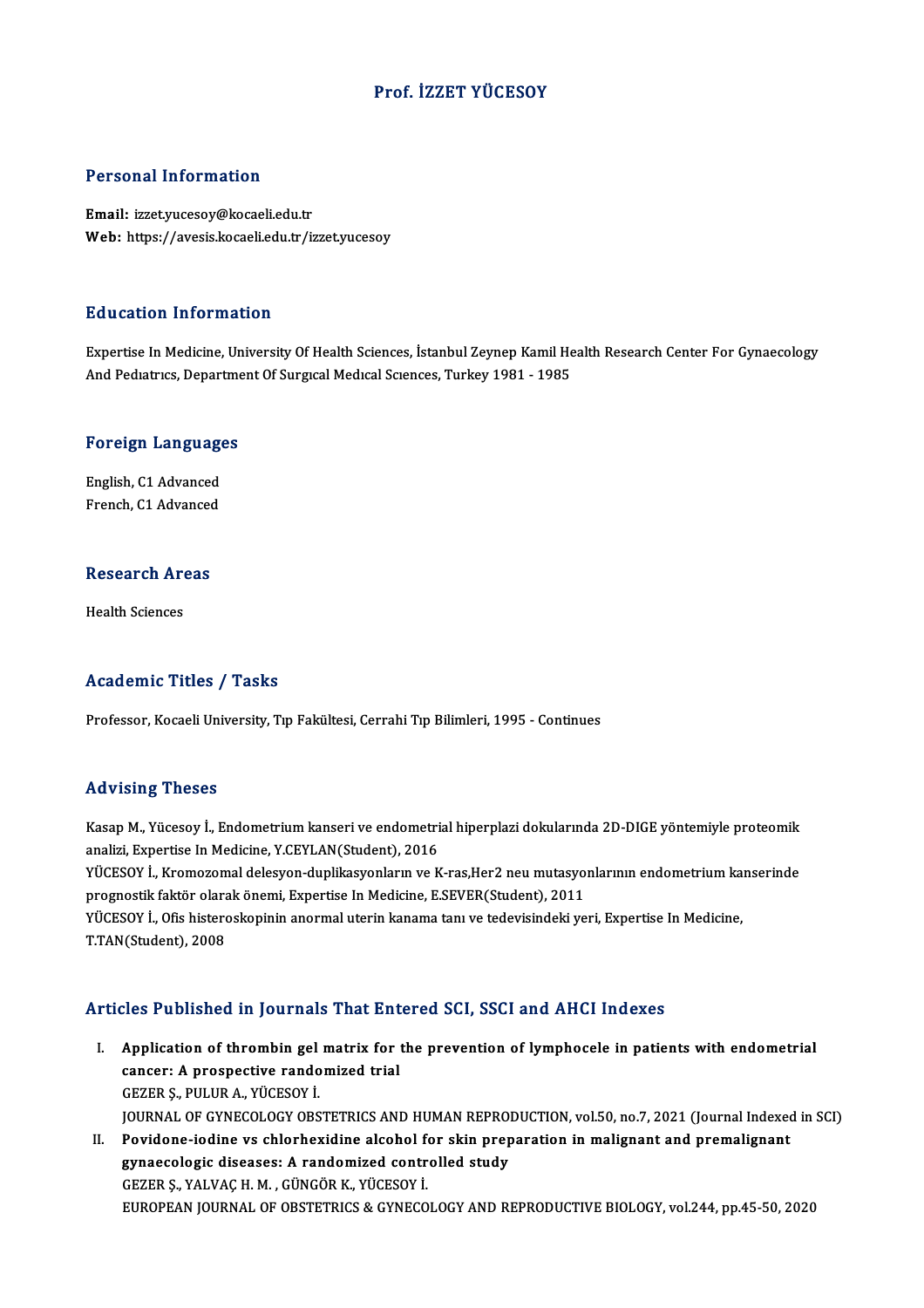## Prof. İZZET YÜCESOY

### Personal Information

Email: izzet.yucesoy@kocaeli.edu.tr Web: https://avesis.kocaeli.edu.tr/izzet.yucesoy

#### Education Information

Education Information<br>Expertise In Medicine, University Of Health Sciences, İstanbul Zeynep Kamil Health Research Center For Gynaecology<br>And Bediatrics, Department Of Surgical Medical Sciences, Turkey 1981, 1985 Buucution IIII of Inderon<br>Expertise In Medicine, University Of Health Sciences, İstanbul Zeynep Kamil He<br>And Pediatrics, Department Of Surgical Medical Sciences, Turkey 1981 - 1985

# and rediatrics, beparting<br>Foreign Languages

**Foreign Language<br>English, C1 Advanced<br>Enangh C1 Advanced** English, C1 Advanced<br>French, C1 Advanced

## rrencn, C1 Advanced<br>Research Areas R<mark>esearch Ar</mark><br>Health Sciences

## Academic Titles / Tasks

Professor, Kocaeli University, Tıp Fakültesi, Cerrahi Tıp Bilimleri, 1995 - Continues

#### Advising Theses

Advising Theses<br>Kasap M., Yücesoy İ., Endometrium kanseri ve endometrial hiperplazi dokularında 2D-DIGE yöntemiyle proteomik<br>Analiri, Evnertise İn Medisine V.CEVI AN(Student), 2016 raa vasing "ricece"<br>Kasap M., Yücesoy İ., Endometrium kanseri ve endometri<br>analizi, Expertise In Medicine, Y.CEYLAN(Student), 2016<br>VÜCESOV İ. Kramazamal dalasyon dunlikasyonların ve K Kasap M., Yücesoy İ., Endometrium kanseri ve endometrial hiperplazi dokularında 2D-DIGE yöntemiyle proteomik<br>analizi, Expertise In Medicine, Y.CEYLAN(Student), 2016<br>YÜCESOY İ., Kromozomal delesyon-duplikasyonların ve K-ras

analizi, Expertise In Medicine, Y.CEYLAN(Student), 2016<br>YÜCESOY İ., Kromozomal delesyon-duplikasyonların ve K-ras,Her2 neu mutasyo:<br>prognostik faktör olarak önemi, Expertise In Medicine, E.SEVER(Student), 2011<br>VÜCESOV İ. O YÜCESOY İ., Kromozomal delesyon-duplikasyonların ve K-ras,Her2 neu mutasyonlarının endometrium ka<br>prognostik faktör olarak önemi, Expertise In Medicine, E.SEVER(Student), 2011<br>YÜCESOY İ., Ofis histeroskopinin anormal uteri

prognostik faktör olarak önemi, Expertise In Medicine, E.SEVER(Student), 2011<br>YÜCESOY İ., Ofis histeroskopinin anormal uterin kanama tanı ve tedevisindeki yeri, Expertise In Medicine,<br>T.TAN(Student), 2008

### Articles Published in Journals That Entered SCI, SSCI and AHCI Indexes

- rticles Published in Journals That Entered SCI, SSCI and AHCI Indexes<br>I. Application of thrombin gel matrix for the prevention of lymphocele in patients with endometrial<br>cancer: A prespective randomized trial Application of thrombin gel matrix for<br>cancer: A prospective randomized trial<br>CEZER S, BIH HR A, VÜCESOV İ Application of thrombin gel<br>cancer: A prospective rando<br>GEZER Ş., PULUR A., YÜCESOY İ.<br>JOUPNAL OF CYNECOLOCY OPS cancer: A prospective randomized trial<br>GEZER Ş., PULUR A., YÜCESOY İ.<br>JOURNAL OF GYNECOLOGY OBSTETRICS AND HUMAN REPRODUCTION, vol.50, no.7, 2021 (Journal Indexed in SCI) GEZER Ș., PULUR A., YÜCESOY İ.<br>JOURNAL OF GYNECOLOGY OBSTETRICS AND HUMAN REPRODUCTION, vol.50, no.7, 2021 (Journal Indexed<br>II. Povidone-iodine vs chlorhexidine alcohol for skin preparation in malignant and premalignant<br>Th
- JOURNAL OF GYNECOLOGY OBSTETRICS AND HUMAN REPRO<br>Povidone-iodine vs chlorhexidine alcohol for skin prep<br>gynaecologic diseases: A randomized controlled study<br>CEZER S, VALVAC H, M., GÜNCÖR K, VÜCESOV İ Povidone-iodine vs chlorhexidine alcohol f<br>gynaecologic diseases: A randomized contr<br>GEZER Ş., YALVAÇ H. M. , GÜNGÖR K., YÜCESOY İ.<br>FUROPEAN JOURNAL OF OBSTETRICS & CYNECO gynaecologic diseases: A randomized controlled study<br>GEZER Ş., YALVAÇ H. M. , GÜNGÖR K., YÜCESOY İ.<br>EUROPEAN JOURNAL OF OBSTETRICS & GYNECOLOGY AND REPRODUCTIVE BIOLOGY, vol.244, pp.45-50, 2020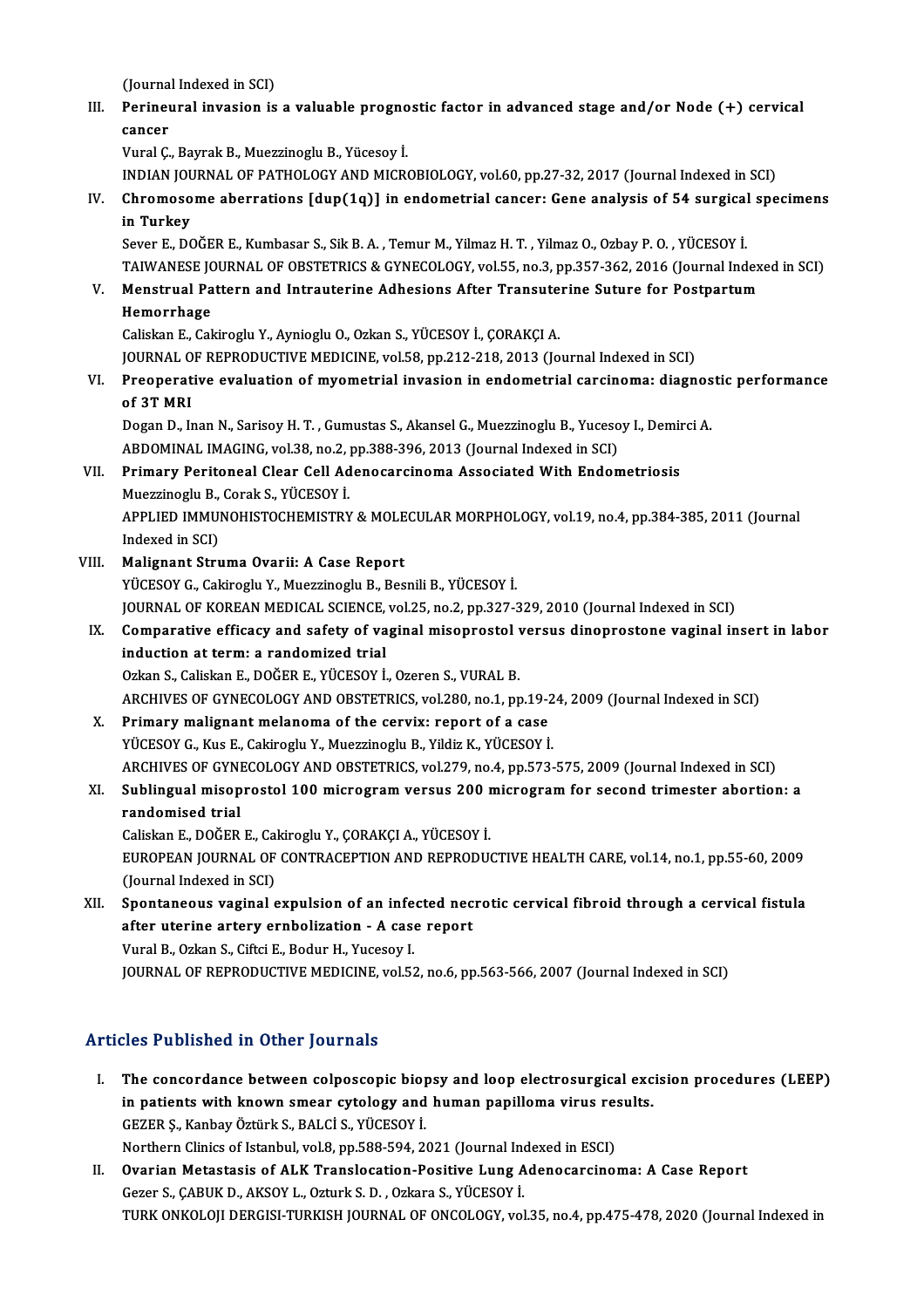(Journal Indexed in SCI)<br>Perineural invesion is

III. Perineural invasion is a valuable prognostic factor in advanced stage and/or Node  $(+)$  cervical cancer (Journa)<br>Perineu<br>cancer<br><sup>Vunal C</sup> cancer<br>Vural Ç., Bayrak B., Muezzinoglu B., Yücesoy İ.<br>INDIAN JOURNAL OF PATHOLOGY AND MICROBIOLOGY, vol.60, pp.27-32, 2017 (Journal Indexed in SCI)<br>Chromosome aberrations [dup(1e)] in endemetrial sensor: Cene analysis of

VuralÇ.,BayrakB.,MuezzinogluB.,Yücesoy İ.

IV. Chromosome aberrations [dup(1q)] in endometrial cancer: Gene analysis of 54 surgical specimens INDIAN JOU<br>Chromoso<br>in Turkey<br>Sover E. DO

Sever E., DOĞER E., Kumbasar S., Sik B. A., Temur M., Yilmaz H. T., Yilmaz O., Ozbay P. O., YÜCESOY İ. TAIWANESE JOURNAL OF OBSTETRICS & GYNECOLOGY, vol.55, no.3, pp.357-362, 2016 (Journal Indexed in SCI) Sever E., DOĞER E., Kumbasar S., Sik B. A. , Temur M., Yilmaz H. T. , Yilmaz O., Ozbay P. O. , YÜCESOY İ.<br>TAIWANESE JOURNAL OF OBSTETRICS & GYNECOLOGY, vol.55, no.3, pp.357-362, 2016 (Journal Index<br>V. Menstrual Pattern and

## TAIWANESE JC<br>Menstrual Pa<br>Hemorrhage<br>Coliskan E-Col Menstrual Pattern and Intrauterine Adhesions After Transute<br>Hemorrhage<br>Caliskan E., Cakiroglu Y., Aynioglu O., Ozkan S., YÜCESOY İ., ÇORAKÇI A.<br>JOURNAL OE REPRODUCTIVE MEDICINE .val 59. np.212.219.2012.(Jo Hemorrhage<br>Caliskan E., Cakiroglu Y., Aynioglu O., Ozkan S., YÜCESOY İ., ÇORAKÇI A.<br>JOURNAL OF REPRODUCTIVE MEDICINE, vol.58, pp.212-218, 2013 (Journal Indexed in SCI)

Caliskan E., Cakiroglu Y., Aynioglu O., Ozkan S., YÜCESOY İ., ÇORAKÇI A.<br>JOURNAL OF REPRODUCTIVE MEDICINE, vol.58, pp.212-218, 2013 (Journal Indexed in SCI)<br>VI. Preoperative evaluation of myometrial invasion in endometrial JOURNAL O<br>Preoperat<br>of 3T MRI<br>Desen D. In Preoperative evaluation of myometrial invasion in endometrial carcinoma: diagnos<br>of 3T MRI<br>Dogan D., Inan N., Sarisoy H. T. , Gumustas S., Akansel G., Muezzinoglu B., Yucesoy I., Demirci A.<br>APDOMINAL IMAGING vol 38 no 3 nn

of 3T MRI<br>Dogan D., Inan N., Sarisoy H. T. , Gumustas S., Akansel G., Muezzinoglu B., Yucesoy I., Demirci A. ABDOMINAL IMAGING, vol.38, no.2, pp.388-396, 2013 (Journal Indexed in SCI)

## VII. Primary Peritoneal Clear Cell Adenocarcinoma Associated With Endometriosis<br>Muezzinoglu B., Corak S., YÜCESOY İ. Primary Peritoneal Clear Cell Adenocarcinoma Associated With Endometriosis<br>Muezzinoglu B., Corak S., YÜCESOY İ.<br>APPLIED IMMUNOHISTOCHEMISTRY & MOLECULAR MORPHOLOGY, vol.19, no.4, pp.384-385, 2011 (Journal<br>Indeved in SCL)

Muezzinoglu B.,<br>APPLIED IMMU<br>Indexed in SCI)<br>Malignant Stru

## Indexed in SCI)<br>VIII. Malignant Struma Ovarii: A Case Report

YÜCESOY G., Cakiroglu Y., Muezzinoglu B., Besnili B., YÜCESOY İ. Malignant Struma Ovarii: A Case Report<br>YÜCESOY G., Cakiroglu Y., Muezzinoglu B., Besnili B., YÜCESOY İ.<br>JOURNAL OF KOREAN MEDICAL SCIENCE, vol.25, no.2, pp.327-329, 2010 (Journal Indexed in SCI)<br>Comparative efficesy and se YÜCESOY G., Cakiroglu Y., Muezzinoglu B., Besnili B., YÜCESOY İ.<br>JOURNAL OF KOREAN MEDICAL SCIENCE, vol.25, no.2, pp.327-329, 2010 (Journal Indexed in SCI)<br>IX. Comparative efficacy and safety of vaginal misoprostol versus

JOURNAL OF KOREAN MEDICAL SCIENCE,<br>Comparative efficacy and safety of va<br>induction at term: a randomized trial Comparative efficacy and safety of vaginal misoprostol v<br>induction at term: a randomized trial<br>Ozkan S., Caliskan E., DOĞER E., YÜCESOY İ., Ozeren S., VURAL B.<br>ARCHIVES OF CYNECOLOCY AND ORSTETRICS vol 280 no 1 nn induction at term: a randomized trial<br>Ozkan S., Caliskan E., DOĞER E., YÜCESOY İ., Ozeren S., VURAL B.<br>ARCHIVES OF GYNECOLOGY AND OBSTETRICS, vol.280, no.1, pp.19-24, 2009 (Journal Indexed in SCI)<br>Primany malignant malanam

## Ozkan S., Caliskan E., DOĞER E., YÜCESOY İ., Ozeren S., VURAL B.<br>ARCHIVES OF GYNECOLOGY AND OBSTETRICS, vol.280, no.1, pp.19-2<br>X. Primary malignant melanoma of the cervix: report of a case<br>YÜCESOY G., Kus E., Cakiroglu Y., ARCHIVES OF GYNECOLOGY AND OBSTETRICS, vol.280, no.1, pp.19-2<br>Primary malignant melanoma of the cervix: report of a case<br>YÜCESOY G., Kus E., Cakiroglu Y., Muezzinoglu B., Yildiz K., YÜCESOY İ.<br>ARCHIVES OF CYNECOLOCY AND OB ARCHIVESOFGYNECOLOGYANDOBSTETRICS,vol.279,no.4,pp.573-575,2009 (Journal Indexed inSCI) YÜCESOY G., Kus E., Cakiroglu Y., Muezzinoglu B., Yildiz K., YÜCESOY İ.<br>ARCHIVES OF GYNECOLOGY AND OBSTETRICS, vol.279, no.4, pp.573-575, 2009 (Journal Indexed in SCI)<br>XI. Sublingual misoprostol 100 microgram versus 200 mi

## ARCHIVES OF GYNI<br>Sublingual misop<br>randomised trial<br>Colialm E. DOČEP Sublingual misoprostol 100 microgram versus 200 m<br>randomised trial<br>Caliskan E., DOĞER E., Cakiroglu Y., ÇORAKÇI A., YÜCESOY İ.<br>EUROPEAN JOURNAL OE CONTRACERTION AND REPRODU

randomised trial<br>Caliskan E., DOĞER E., Cakiroglu Y., ÇORAKÇI A., YÜCESOY İ.<br>EUROPEAN JOURNAL OF CONTRACEPTION AND REPRODUCTIVE HEALTH CARE, vol.14, no.1, pp.55-60, 2009<br>(Journal Indoved in SCD Caliskan E., DOĞER E., Cal<br>EUROPEAN JOURNAL OF<br>(Journal Indexed in SCI)<br>Spontaneous vosinal c EUROPEAN JOURNAL OF CONTRACEPTION AND REPRODUCTIVE HEALTH CARE, vol.14, no.1, pp.55-60, 2009<br>(Journal Indexed in SCI)<br>XII. Spontaneous vaginal expulsion of an infected necrotic cervical fibroid through a cervical fistula<br>o

(Journal Indexed in SCI)<br>Spontaneous vaginal expulsion of an infected nec<br>after uterine artery ernbolization - A case report<br>Vural B. Ozkan S. Giftei E. Bodur H. Vucesev J Spontaneous vaginal expulsion of an infe<br>after uterine artery ernbolization - A case<br>Vural B., Ozkan S., Ciftci E., Bodur H., Yucesoy I.<br>JOUPNAL OF PEPPODUCTIVE MEDICINE vol 53

Vural B., Ozkan S., Ciftci E., Bodur H., Yucesoy I.<br>JOURNAL OF REPRODUCTIVE MEDICINE, vol.52, no.6, pp.563-566, 2007 (Journal Indexed in SCI)

## Articles Published in Other Journals

rticles Published in Other Journals<br>I. The concordance between colposcopic biopsy and loop electrosurgical excision procedures (LEEP)<br>in patients with known smear sytelesy and hyman papillome winys results ince i deficined in other journals<br>The concordance between colposcopic biopsy and loop electrosurgical exc<br>in patients with known smear cytology and human papilloma virus results.<br>CEZER S. Kanbay Öttürk S. BALCİ S. VÜCESOV The concordance between colposcopic biop<br>in patients with known smear cytology and<br>GEZER Ş., Kanbay Öztürk S., BALCİ S., YÜCESOY İ.<br>Northarn Cliniss of Istanbul vol 8-nn 598-594-24 in patients with known smear cytology and human papilloma virus results.<br>GEZER Ş., Kanbay Öztürk S., BALCİ S., YÜCESOY İ.<br>Northern Clinics of Istanbul, vol.8, pp.588-594, 2021 (Journal Indexed in ESCI) GEZER Ș., Kanbay Öztürk S., BALCİ S., YÜCESOY İ.<br>Northern Clinics of Istanbul, vol.8, pp.588-594, 2021 (Journal Indexed in ESCI)<br>II. Ovarian Metastasis of ALK Translocation-Positive Lung Adenocarcinoma: A Case Report<br>Cerea

Northern Clinics of Istanbul, vol.8, pp.588-594, 2021 (Journal Incornation Metastasis of ALK Translocation-Positive Lung A<br>Gezer S., ÇABUK D., AKSOY L., Ozturk S. D. , Ozkara S., YÜCESOY İ.<br>TURK ONKOLOU DERGISL TURKISL JOU Gezer S., ÇABUK D., AKSOY L., Ozturk S. D. , Ozkara S., YÜCESOY İ.<br>TURK ONKOLOJI DERGISI-TURKISH JOURNAL OF ONCOLOGY, vol.35, no.4, pp.475-478, 2020 (Journal Indexed in